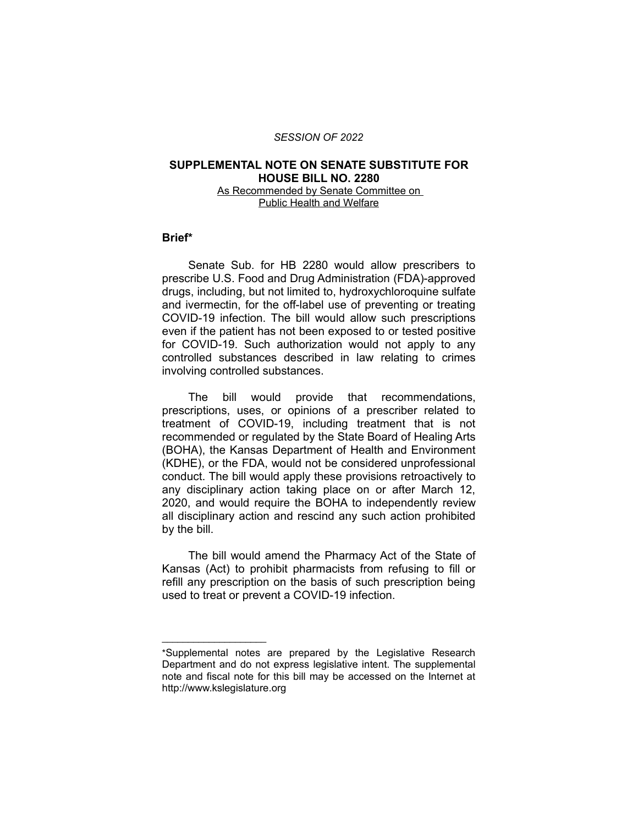#### *SESSION OF 2022*

### **SUPPLEMENTAL NOTE ON SENATE SUBSTITUTE FOR HOUSE BILL NO. 2280** As Recommended by Senate Committee on

Public Health and Welfare

### **Brief\***

Senate Sub. for HB 2280 would allow prescribers to prescribe U.S. Food and Drug Administration (FDA)-approved drugs, including, but not limited to, hydroxychloroquine sulfate and ivermectin, for the off-label use of preventing or treating COVID-19 infection. The bill would allow such prescriptions even if the patient has not been exposed to or tested positive for COVID-19. Such authorization would not apply to any controlled substances described in law relating to crimes involving controlled substances.

The bill would provide that recommendations, prescriptions, uses, or opinions of a prescriber related to treatment of COVID-19, including treatment that is not recommended or regulated by the State Board of Healing Arts (BOHA), the Kansas Department of Health and Environment (KDHE), or the FDA, would not be considered unprofessional conduct. The bill would apply these provisions retroactively to any disciplinary action taking place on or after March 12, 2020, and would require the BOHA to independently review all disciplinary action and rescind any such action prohibited by the bill.

The bill would amend the Pharmacy Act of the State of Kansas (Act) to prohibit pharmacists from refusing to fill or refill any prescription on the basis of such prescription being used to treat or prevent a COVID-19 infection.

 $\overline{\phantom{a}}$  , where  $\overline{\phantom{a}}$  , where  $\overline{\phantom{a}}$ 

<sup>\*</sup>Supplemental notes are prepared by the Legislative Research Department and do not express legislative intent. The supplemental note and fiscal note for this bill may be accessed on the Internet at http://www.kslegislature.org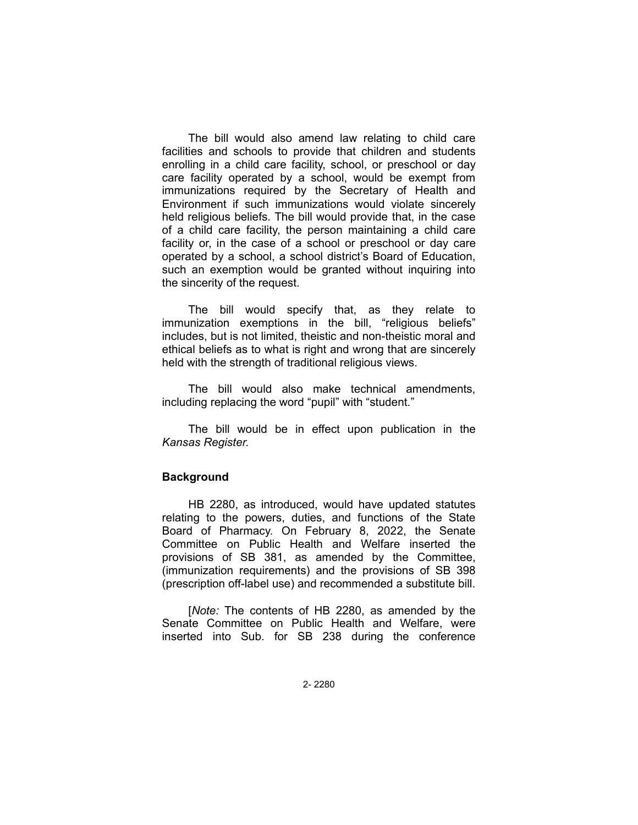The bill would also amend law relating to child care facilities and schools to provide that children and students enrolling in a child care facility, school, or preschool or day care facility operated by a school, would be exempt from immunizations required by the Secretary of Health and Environment if such immunizations would violate sincerely held religious beliefs. The bill would provide that, in the case of a child care facility, the person maintaining a child care facility or, in the case of a school or preschool or day care operated by a school, a school district's Board of Education, such an exemption would be granted without inquiring into the sincerity of the request.

The bill would specify that, as they relate to immunization exemptions in the bill, "religious beliefs" includes, but is not limited, theistic and non-theistic moral and ethical beliefs as to what is right and wrong that are sincerely held with the strength of traditional religious views.

The bill would also make technical amendments, including replacing the word "pupil" with "student."

The bill would be in effect upon publication in the *Kansas Register.*

### **Background**

HB 2280, as introduced, would have updated statutes relating to the powers, duties, and functions of the State Board of Pharmacy. On February 8, 2022, the Senate Committee on Public Health and Welfare inserted the provisions of SB 381, as amended by the Committee, (immunization requirements) and the provisions of SB 398 (prescription off-label use) and recommended a substitute bill.

[*Note:* The contents of HB 2280, as amended by the Senate Committee on Public Health and Welfare, were inserted into Sub. for SB 238 during the conference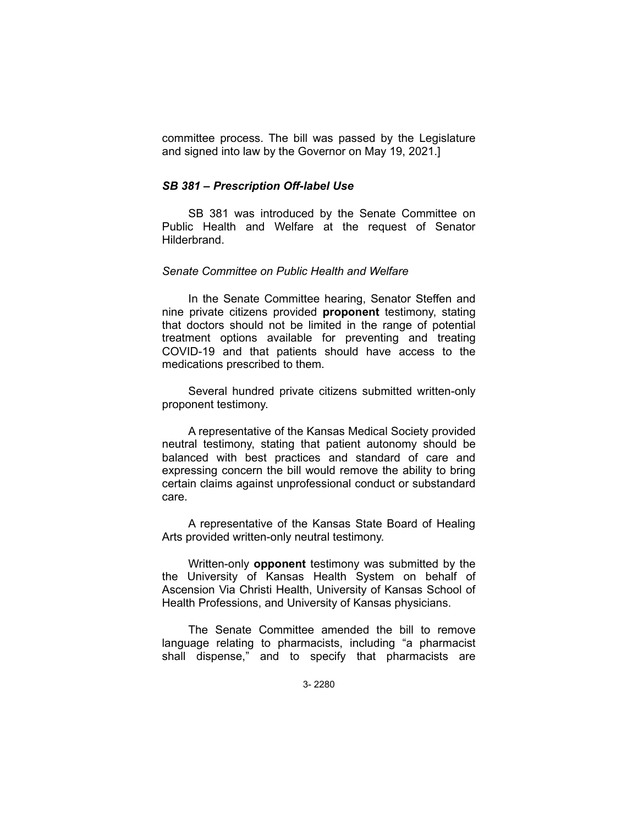committee process. The bill was passed by the Legislature and signed into law by the Governor on May 19, 2021.]

### *SB 381 – Prescription Off-label Use*

SB 381 was introduced by the Senate Committee on Public Health and Welfare at the request of Senator **Hilderbrand** 

# *Senate Committee on Public Health and Welfare*

In the Senate Committee hearing, Senator Steffen and nine private citizens provided **proponent** testimony, stating that doctors should not be limited in the range of potential treatment options available for preventing and treating COVID-19 and that patients should have access to the medications prescribed to them.

Several hundred private citizens submitted written-only proponent testimony.

A representative of the Kansas Medical Society provided neutral testimony, stating that patient autonomy should be balanced with best practices and standard of care and expressing concern the bill would remove the ability to bring certain claims against unprofessional conduct or substandard care.

A representative of the Kansas State Board of Healing Arts provided written-only neutral testimony.

Written-only **opponent** testimony was submitted by the the University of Kansas Health System on behalf of Ascension Via Christi Health, University of Kansas School of Health Professions, and University of Kansas physicians.

The Senate Committee amended the bill to remove language relating to pharmacists, including "a pharmacist shall dispense," and to specify that pharmacists are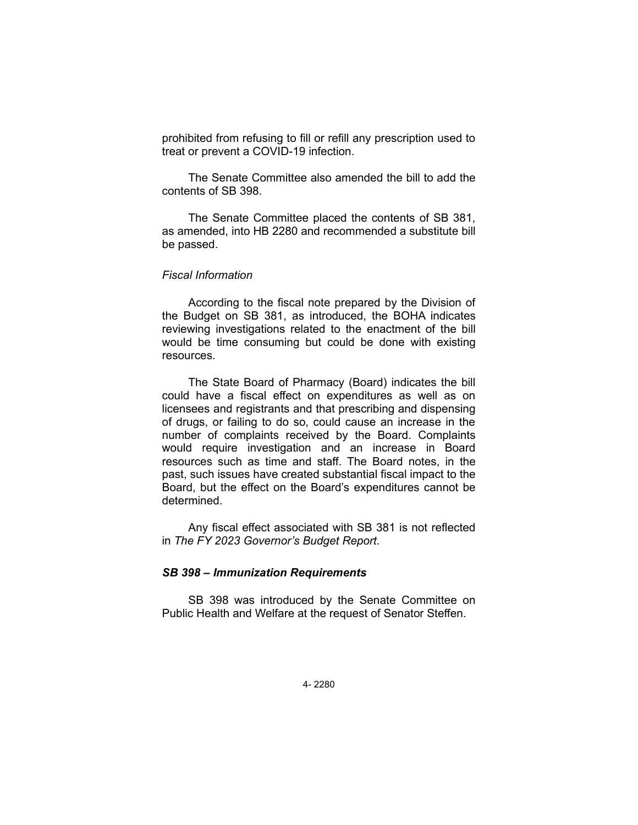prohibited from refusing to fill or refill any prescription used to treat or prevent a COVID-19 infection.

The Senate Committee also amended the bill to add the contents of SB 398.

The Senate Committee placed the contents of SB 381, as amended, into HB 2280 and recommended a substitute bill be passed.

### *Fiscal Information*

According to the fiscal note prepared by the Division of the Budget on SB 381, as introduced, the BOHA indicates reviewing investigations related to the enactment of the bill would be time consuming but could be done with existing resources.

The State Board of Pharmacy (Board) indicates the bill could have a fiscal effect on expenditures as well as on licensees and registrants and that prescribing and dispensing of drugs, or failing to do so, could cause an increase in the number of complaints received by the Board. Complaints would require investigation and an increase in Board resources such as time and staff. The Board notes, in the past, such issues have created substantial fiscal impact to the Board, but the effect on the Board's expenditures cannot be determined.

Any fiscal effect associated with SB 381 is not reflected in *The FY 2023 Governor's Budget Report*.

## *SB 398 – Immunization Requirements*

SB 398 was introduced by the Senate Committee on Public Health and Welfare at the request of Senator Steffen.